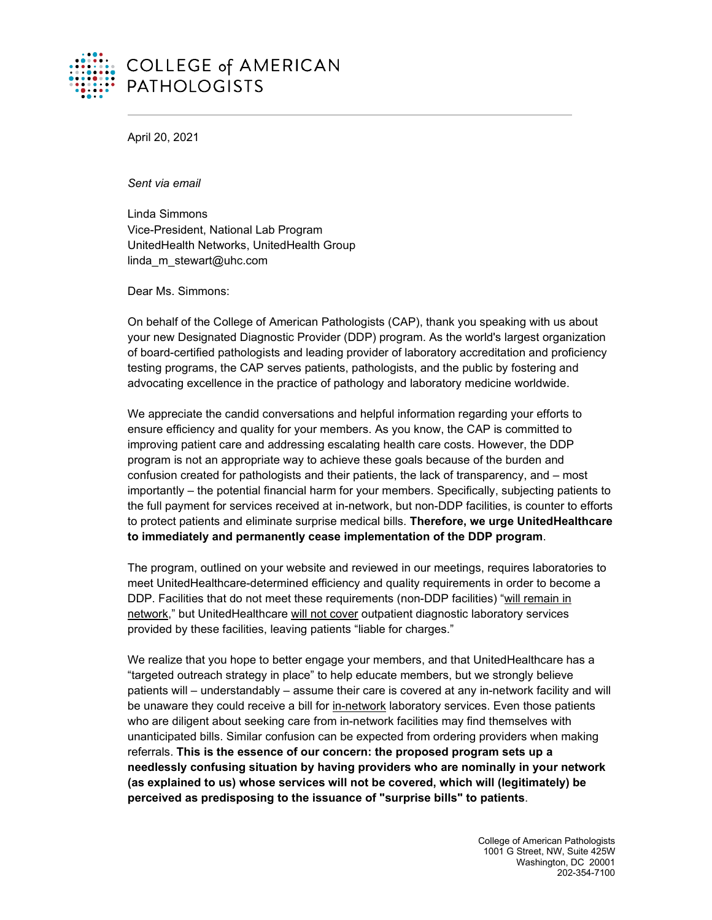

April 20, 2021

*Sent via email*

Linda Simmons Vice-President, National Lab Program UnitedHealth Networks, UnitedHealth Group linda m stewart@uhc.com

Dear Ms. Simmons:

On behalf of the College of American Pathologists (CAP), thank you speaking with us about your new Designated Diagnostic Provider (DDP) program. As the world's largest organization of board-certified pathologists and leading provider of laboratory accreditation and proficiency testing programs, the CAP serves patients, pathologists, and the public by fostering and advocating excellence in the practice of pathology and laboratory medicine worldwide.

We appreciate the candid conversations and helpful information regarding your efforts to ensure efficiency and quality for your members. As you know, the CAP is committed to improving patient care and addressing escalating health care costs. However, the DDP program is not an appropriate way to achieve these goals because of the burden and confusion created for pathologists and their patients, the lack of transparency, and – most importantly – the potential financial harm for your members. Specifically, subjecting patients to the full payment for services received at in-network, but non-DDP facilities, is counter to efforts to protect patients and eliminate surprise medical bills. **Therefore, we urge UnitedHealthcare to immediately and permanently cease implementation of the DDP program**.

The program, outlined on your website and reviewed in our meetings, requires laboratories to meet UnitedHealthcare-determined efficiency and quality requirements in order to become a DDP. Facilities that do not meet these requirements (non-DDP facilities) "will remain in network," but UnitedHealthcare will not cover outpatient diagnostic laboratory services provided by these facilities, leaving patients "liable for charges."

We realize that you hope to better engage your members, and that UnitedHealthcare has a "targeted outreach strategy in place" to help educate members, but we strongly believe patients will – understandably – assume their care is covered at any in-network facility and will be unaware they could receive a bill for in-network laboratory services. Even those patients who are diligent about seeking care from in-network facilities may find themselves with unanticipated bills. Similar confusion can be expected from ordering providers when making referrals. **This is the essence of our concern: the proposed program sets up a needlessly confusing situation by having providers who are nominally in your network (as explained to us) whose services will not be covered, which will (legitimately) be perceived as predisposing to the issuance of "surprise bills" to patients**.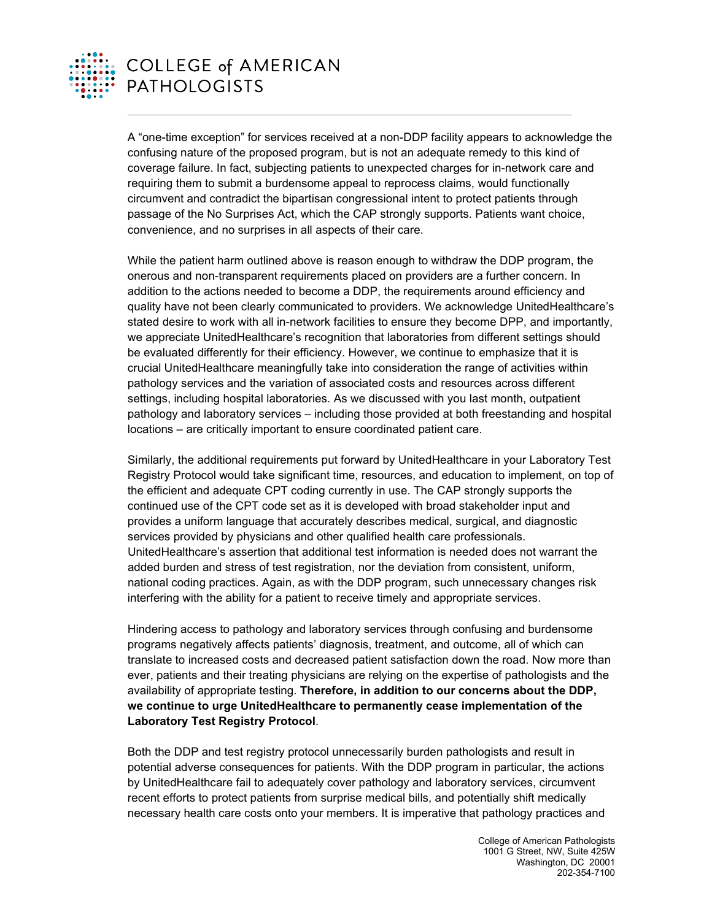

## **COLLEGE of AMERICAN PATHOLOGISTS**

A "one-time exception" for services received at a non-DDP facility appears to acknowledge the confusing nature of the proposed program, but is not an adequate remedy to this kind of coverage failure. In fact, subjecting patients to unexpected charges for in-network care and requiring them to submit a burdensome appeal to reprocess claims, would functionally circumvent and contradict the bipartisan congressional intent to protect patients through passage of the No Surprises Act, which the CAP strongly supports. Patients want choice, convenience, and no surprises in all aspects of their care.

While the patient harm outlined above is reason enough to withdraw the DDP program, the onerous and non-transparent requirements placed on providers are a further concern. In addition to the actions needed to become a DDP, the requirements around efficiency and quality have not been clearly communicated to providers. We acknowledge UnitedHealthcare's stated desire to work with all in-network facilities to ensure they become DPP, and importantly, we appreciate UnitedHealthcare's recognition that laboratories from different settings should be evaluated differently for their efficiency. However, we continue to emphasize that it is crucial UnitedHealthcare meaningfully take into consideration the range of activities within pathology services and the variation of associated costs and resources across different settings, including hospital laboratories. As we discussed with you last month, outpatient pathology and laboratory services – including those provided at both freestanding and hospital locations – are critically important to ensure coordinated patient care.

Similarly, the additional requirements put forward by UnitedHealthcare in your Laboratory Test Registry Protocol would take significant time, resources, and education to implement, on top of the efficient and adequate CPT coding currently in use. The CAP strongly supports the continued use of the CPT code set as it is developed with broad stakeholder input and provides a uniform language that accurately describes medical, surgical, and diagnostic services provided by physicians and other qualified health care professionals. UnitedHealthcare's assertion that additional test information is needed does not warrant the added burden and stress of test registration, nor the deviation from consistent, uniform, national coding practices. Again, as with the DDP program, such unnecessary changes risk interfering with the ability for a patient to receive timely and appropriate services.

Hindering access to pathology and laboratory services through confusing and burdensome programs negatively affects patients' diagnosis, treatment, and outcome, all of which can translate to increased costs and decreased patient satisfaction down the road. Now more than ever, patients and their treating physicians are relying on the expertise of pathologists and the availability of appropriate testing. **Therefore, in addition to our concerns about the DDP, we continue to urge UnitedHealthcare to permanently cease implementation of the Laboratory Test Registry Protocol**.

Both the DDP and test registry protocol unnecessarily burden pathologists and result in potential adverse consequences for patients. With the DDP program in particular, the actions by UnitedHealthcare fail to adequately cover pathology and laboratory services, circumvent recent efforts to protect patients from surprise medical bills, and potentially shift medically necessary health care costs onto your members. It is imperative that pathology practices and